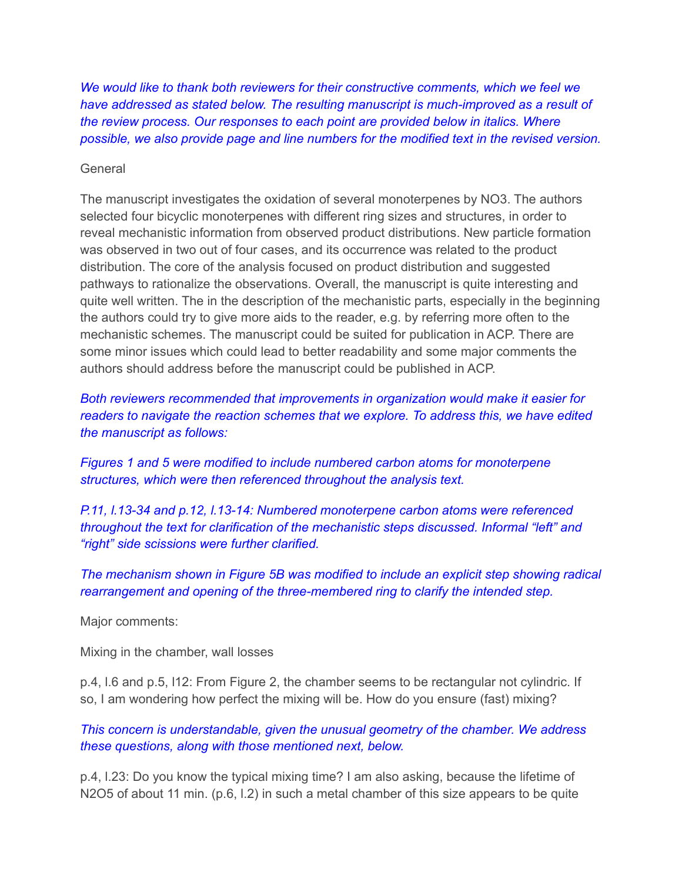*We would like to thank both reviewers for their constructive comments, which we feel we have addressed as stated below. The resulting manuscript is much-improved as a result of the review process. Our responses to each point are provided below in italics. Where possible, we also provide page and line numbers for the modified text in the revised version.*

### General

The manuscript investigates the oxidation of several monoterpenes by NO3. The authors selected four bicyclic monoterpenes with different ring sizes and structures, in order to reveal mechanistic information from observed product distributions. New particle formation was observed in two out of four cases, and its occurrence was related to the product distribution. The core of the analysis focused on product distribution and suggested pathways to rationalize the observations. Overall, the manuscript is quite interesting and quite well written. The in the description of the mechanistic parts, especially in the beginning the authors could try to give more aids to the reader, e.g. by referring more often to the mechanistic schemes. The manuscript could be suited for publication in ACP. There are some minor issues which could lead to better readability and some major comments the authors should address before the manuscript could be published in ACP.

*Both reviewers recommended that improvements in organization would make it easier for readers to navigate the reaction schemes that we explore. To address this, we have edited the manuscript as follows:*

*Figures 1 and 5 were modified to include numbered carbon atoms for monoterpene structures, which were then referenced throughout the analysis text.*

*P.11, l.13-34 and p.12, l.13-14: Numbered monoterpene carbon atoms were referenced throughout the text for clarification of the mechanistic steps discussed. Informal "left" and "right" side scissions were further clarified.*

*The mechanism shown in Figure 5B was modified to include an explicit step showing radical rearrangement and opening of the three-membered ring to clarify the intended step.*

Major comments:

Mixing in the chamber, wall losses

p.4, l.6 and p.5, l12: From Figure 2, the chamber seems to be rectangular not cylindric. If so, I am wondering how perfect the mixing will be. How do you ensure (fast) mixing?

*This concern is understandable, given the unusual geometry of the chamber. We address these questions, along with those mentioned next, below.*

p.4, l.23: Do you know the typical mixing time? I am also asking, because the lifetime of N2O5 of about 11 min. (p.6, l.2) in such a metal chamber of this size appears to be quite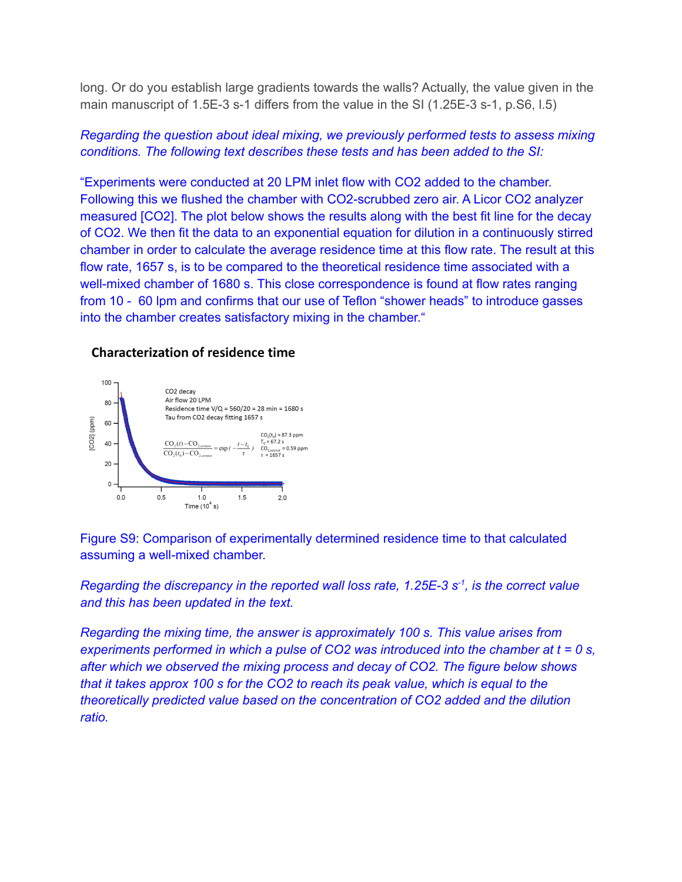long. Or do you establish large gradients towards the walls? Actually, the value given in the main manuscript of 1.5E-3 s-1 differs from the value in the SI (1.25E-3 s-1, p.S6, l.5)

## *Regarding the question about ideal mixing, we previously performed tests to assess mixing conditions. The following text describes these tests and has been added to the SI:*

"Experiments were conducted at 20 LPM inlet flow with CO2 added to the chamber. Following this we flushed the chamber with CO2-scrubbed zero air. A Licor CO2 analyzer measured [CO2]. The plot below shows the results along with the best fit line for the decay of CO2. We then fit the data to an exponential equation for dilution in a continuously stirred chamber in order to calculate the average residence time at this flow rate. The result at this flow rate, 1657 s, is to be compared to the theoretical residence time associated with a well-mixed chamber of 1680 s. This close correspondence is found at flow rates ranging from 10 - 60 lpm and confirms that our use of Teflon "shower heads" to introduce gasses into the chamber creates satisfactory mixing in the chamber."

### Characterization of residence time



Figure S9: Comparison of experimentally determined residence time to that calculated assuming a well-mixed chamber.

*Regarding the discrepancy in the reported wall loss rate, 1.25E-3 s -1 , is the correct value and this has been updated in the text.*

*Regarding the mixing time, the answer is approximately 100 s. This value arises from experiments performed in which a pulse of CO2 was introduced into the chamber at t = 0 s, after which we observed the mixing process and decay of CO2. The figure below shows that it takes approx 100 s for the CO2 to reach its peak value, which is equal to the theoretically predicted value based on the concentration of CO2 added and the dilution ratio.*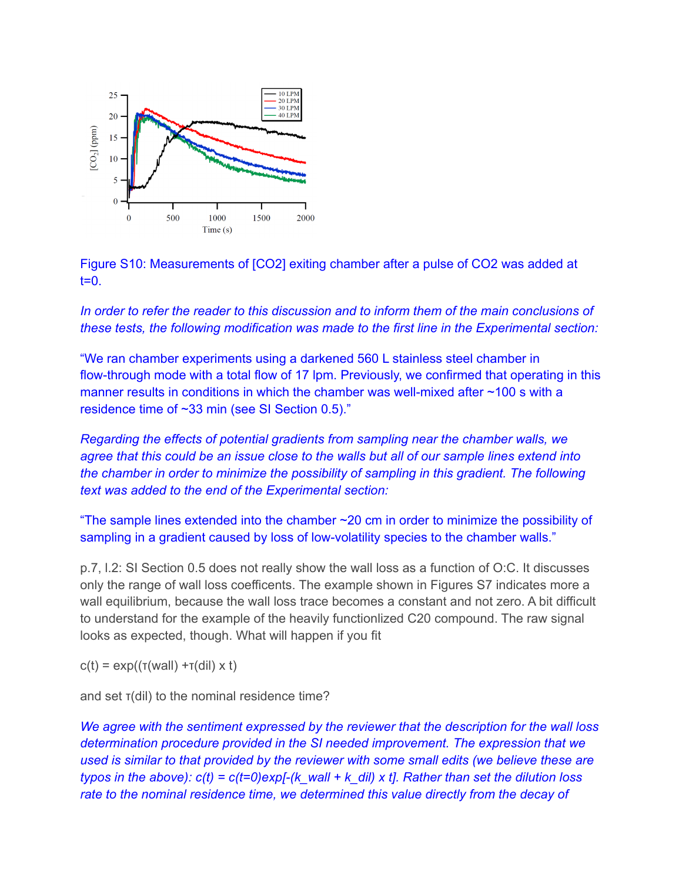

Figure S10: Measurements of [CO2] exiting chamber after a pulse of CO2 was added at  $t=0$ .

*In order to refer the reader to this discussion and to inform them of the main conclusions of these tests, the following modification was made to the first line in the Experimental section:*

"We ran chamber experiments using a darkened 560 L stainless steel chamber in flow-through mode with a total flow of 17 lpm. Previously, we confirmed that operating in this manner results in conditions in which the chamber was well-mixed after ~100 s with a residence time of ~33 min (see SI Section 0.5)."

*Regarding the effects of potential gradients from sampling near the chamber walls, we* agree that this could be an issue close to the walls but all of our sample lines extend into *the chamber in order to minimize the possibility of sampling in this gradient. The following text was added to the end of the Experimental section:*

"The sample lines extended into the chamber ~20 cm in order to minimize the possibility of sampling in a gradient caused by loss of low-volatility species to the chamber walls."

p.7, l.2: SI Section 0.5 does not really show the wall loss as a function of O:C. It discusses only the range of wall loss coefficents. The example shown in Figures S7 indicates more a wall equilibrium, because the wall loss trace becomes a constant and not zero. A bit difficult to understand for the example of the heavily functionlized C20 compound. The raw signal looks as expected, though. What will happen if you fit

 $c(t) = exp((\tau(wall) + \tau(dil) \times t))$ 

and set τ(dil) to the nominal residence time?

*We agree with the sentiment expressed by the reviewer that the description for the wall loss determination procedure provided in the SI needed improvement. The expression that we used is similar to that provided by the reviewer with some small edits (we believe these are typos in the above): c(t) = c(t=0)exp[-(k\_wall + k\_dil) x t]. Rather than set the dilution loss rate to the nominal residence time, we determined this value directly from the decay of*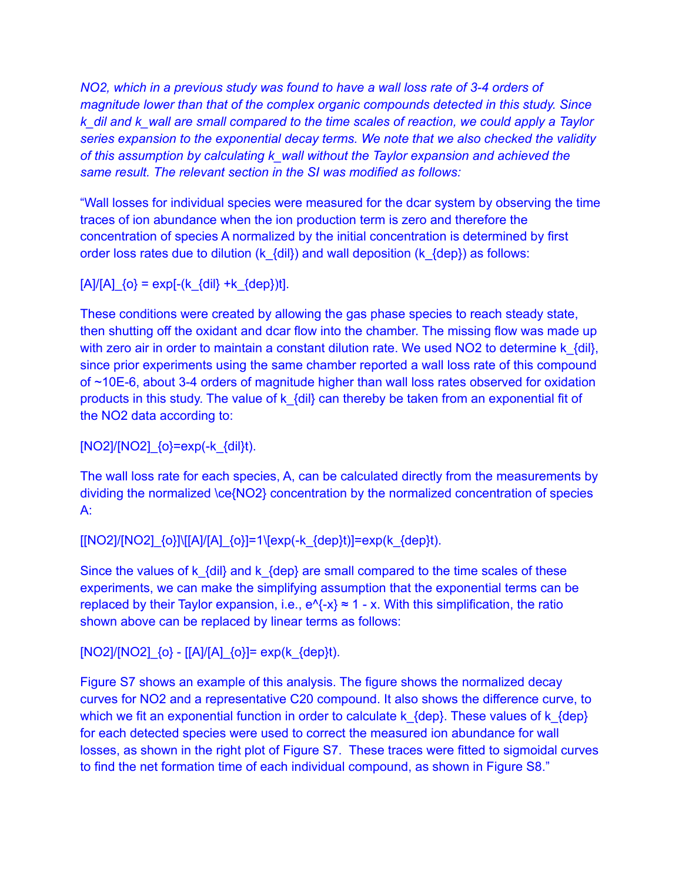*NO2, which in a previous study was found to have a wall loss rate of 3-4 orders of magnitude lower than that of the complex organic compounds detected in this study. Since k\_dil and k\_wall are small compared to the time scales of reaction, we could apply a Taylor series expansion to the exponential decay terms. We note that we also checked the validity of this assumption by calculating k\_wall without the Taylor expansion and achieved the same result. The relevant section in the SI was modified as follows:*

"Wall losses for individual species were measured for the dcar system by observing the time traces of ion abundance when the ion production term is zero and therefore the concentration of species A normalized by the initial concentration is determined by first order loss rates due to dilution (k  $\{dil\}$ ) and wall deposition (k  $\{dep\}$ ) as follows:

 $[A]/[A]$   $\{o\}$  = exp[- $(k \{dii\} + k \{dep\})t$ ].

These conditions were created by allowing the gas phase species to reach steady state, then shutting off the oxidant and dcar flow into the chamber. The missing flow was made up with zero air in order to maintain a constant dilution rate. We used NO2 to determine  $k_{\text{min}}$ , since prior experiments using the same chamber reported a wall loss rate of this compound of ~10E-6, about 3-4 orders of magnitude higher than wall loss rates observed for oxidation products in this study. The value of k\_{dil} can thereby be taken from an exponential fit of the NO2 data according to:

 $[NO2]/[NO2]$   ${o}$ =exp(-k  ${d}$ il}t).

The wall loss rate for each species, A, can be calculated directly from the measurements by dividing the normalized \ce{NO2} concentration by the normalized concentration of species A:

 $[[NO2]/[NO2]_{O}\][[A]/[A]_{O}\] = 1\{exp(-k_{O}\}t) = exp(k_{O}\}t).$ 

Since the values of k  $\{dil\}$  and k  $\{dep\}$  are small compared to the time scales of these experiments, we can make the simplifying assumption that the exponential terms can be replaced by their Taylor expansion, i.e.,  $e^{x} - x$  = 1 - x. With this simplification, the ratio shown above can be replaced by linear terms as follows:

[NO2]/[NO2]\_{o} - [[A]/[A]\_{o}]= exp(k\_{dep}t).

Figure S7 shows an example of this analysis. The figure shows the normalized decay curves for NO2 and a representative C20 compound. It also shows the difference curve, to which we fit an exponential function in order to calculate k\_{dep}. These values of k\_{dep} for each detected species were used to correct the measured ion abundance for wall losses, as shown in the right plot of Figure S7. These traces were fitted to sigmoidal curves to find the net formation time of each individual compound, as shown in Figure S8."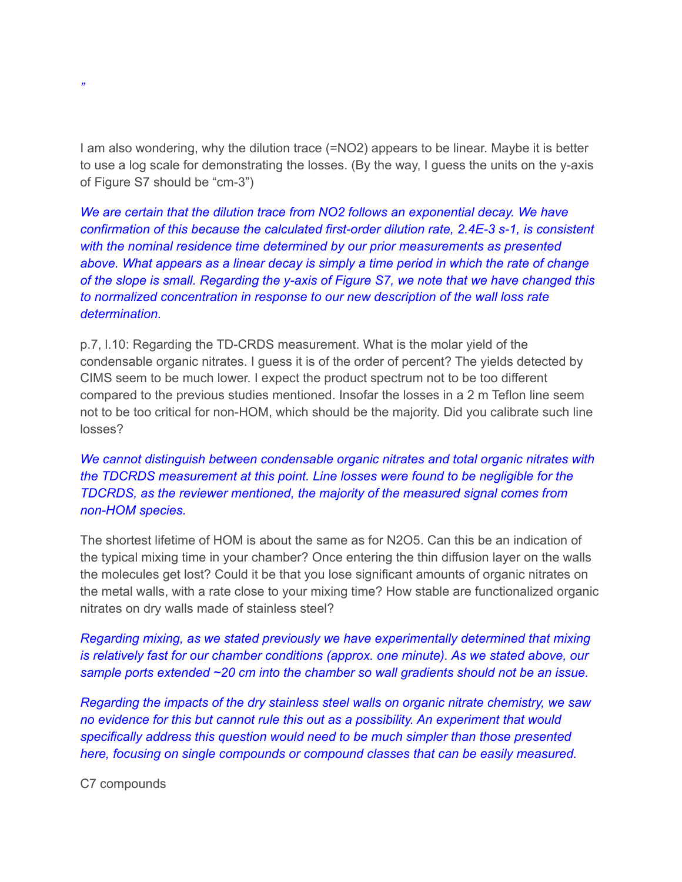I am also wondering, why the dilution trace (=NO2) appears to be linear. Maybe it is better to use a log scale for demonstrating the losses. (By the way, I guess the units on the y-axis of Figure S7 should be "cm-3")

*We are certain that the dilution trace from NO2 follows an exponential decay. We have confirmation of this because the calculated first-order dilution rate, 2.4E-3 s-1, is consistent with the nominal residence time determined by our prior measurements as presented above. What appears as a linear decay is simply a time period in which the rate of change of the slope is small. Regarding the y-axis of Figure S7, we note that we have changed this to normalized concentration in response to our new description of the wall loss rate determination.*

p.7, l.10: Regarding the TD-CRDS measurement. What is the molar yield of the condensable organic nitrates. I guess it is of the order of percent? The yields detected by CIMS seem to be much lower. I expect the product spectrum not to be too different compared to the previous studies mentioned. Insofar the losses in a 2 m Teflon line seem not to be too critical for non-HOM, which should be the majority. Did you calibrate such line losses?

*We cannot distinguish between condensable organic nitrates and total organic nitrates with the TDCRDS measurement at this point. Line losses were found to be negligible for the TDCRDS, as the reviewer mentioned, the majority of the measured signal comes from non-HOM species.*

The shortest lifetime of HOM is about the same as for N2O5. Can this be an indication of the typical mixing time in your chamber? Once entering the thin diffusion layer on the walls the molecules get lost? Could it be that you lose significant amounts of organic nitrates on the metal walls, with a rate close to your mixing time? How stable are functionalized organic nitrates on dry walls made of stainless steel?

*Regarding mixing, as we stated previously we have experimentally determined that mixing is relatively fast for our chamber conditions (approx. one minute). As we stated above, our sample ports extended ~20 cm into the chamber so wall gradients should not be an issue.*

*Regarding the impacts of the dry stainless steel walls on organic nitrate chemistry, we saw no evidence for this but cannot rule this out as a possibility. An experiment that would specifically address this question would need to be much simpler than those presented here, focusing on single compounds or compound classes that can be easily measured.*

C7 compounds

*"*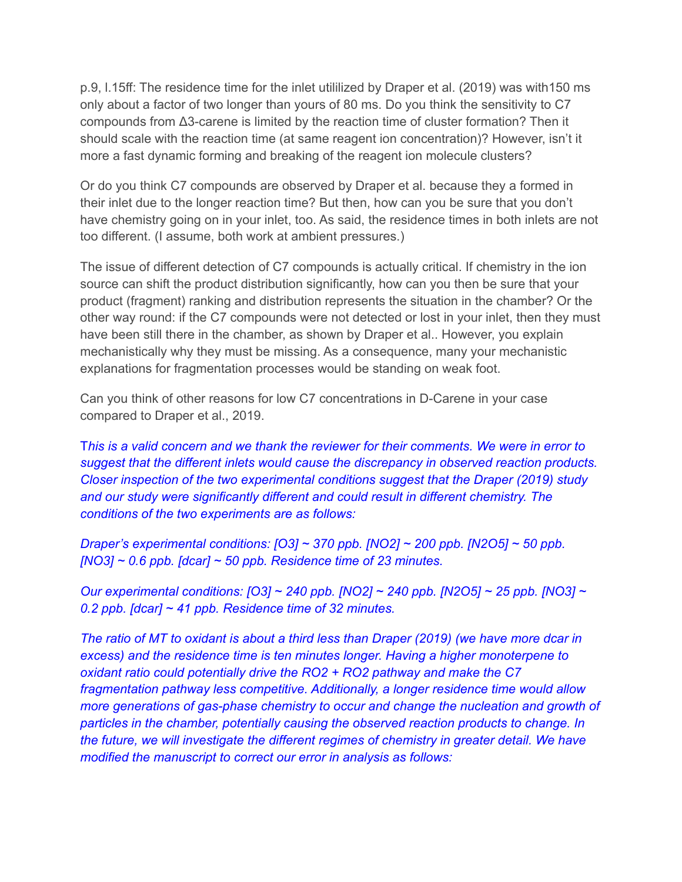p.9, l.15ff: The residence time for the inlet utililized by Draper et al. (2019) was with150 ms only about a factor of two longer than yours of 80 ms. Do you think the sensitivity to C7 compounds from Δ3-carene is limited by the reaction time of cluster formation? Then it should scale with the reaction time (at same reagent ion concentration)? However, isn't it more a fast dynamic forming and breaking of the reagent ion molecule clusters?

Or do you think C7 compounds are observed by Draper et al. because they a formed in their inlet due to the longer reaction time? But then, how can you be sure that you don't have chemistry going on in your inlet, too. As said, the residence times in both inlets are not too different. (I assume, both work at ambient pressures.)

The issue of different detection of C7 compounds is actually critical. If chemistry in the ion source can shift the product distribution significantly, how can you then be sure that your product (fragment) ranking and distribution represents the situation in the chamber? Or the other way round: if the C7 compounds were not detected or lost in your inlet, then they must have been still there in the chamber, as shown by Draper et al.. However, you explain mechanistically why they must be missing. As a consequence, many your mechanistic explanations for fragmentation processes would be standing on weak foot.

Can you think of other reasons for low C7 concentrations in D-Carene in your case compared to Draper et al., 2019.

T*his is a valid concern and we thank the reviewer for their comments. We were in error to suggest that the different inlets would cause the discrepancy in observed reaction products. Closer inspection of the two experimental conditions suggest that the Draper (2019) study and our study were significantly different and could result in different chemistry. The conditions of the two experiments are as follows:*

*Draper's experimental conditions: [O3] ~ 370 ppb. [NO2] ~ 200 ppb. [N2O5] ~ 50 ppb. [NO3] ~ 0.6 ppb. [dcar] ~ 50 ppb. Residence time of 23 minutes.*

*Our experimental conditions: [O3] ~ 240 ppb. [NO2] ~ 240 ppb. [N2O5] ~ 25 ppb. [NO3] ~ 0.2 ppb. [dcar] ~ 41 ppb. Residence time of 32 minutes.*

*The ratio of MT to oxidant is about a third less than Draper (2019) (we have more dcar in excess) and the residence time is ten minutes longer. Having a higher monoterpene to oxidant ratio could potentially drive the RO2 + RO2 pathway and make the C7 fragmentation pathway less competitive. Additionally, a longer residence time would allow more generations of gas-phase chemistry to occur and change the nucleation and growth of particles in the chamber, potentially causing the observed reaction products to change. In the future, we will investigate the different regimes of chemistry in greater detail. We have modified the manuscript to correct our error in analysis as follows:*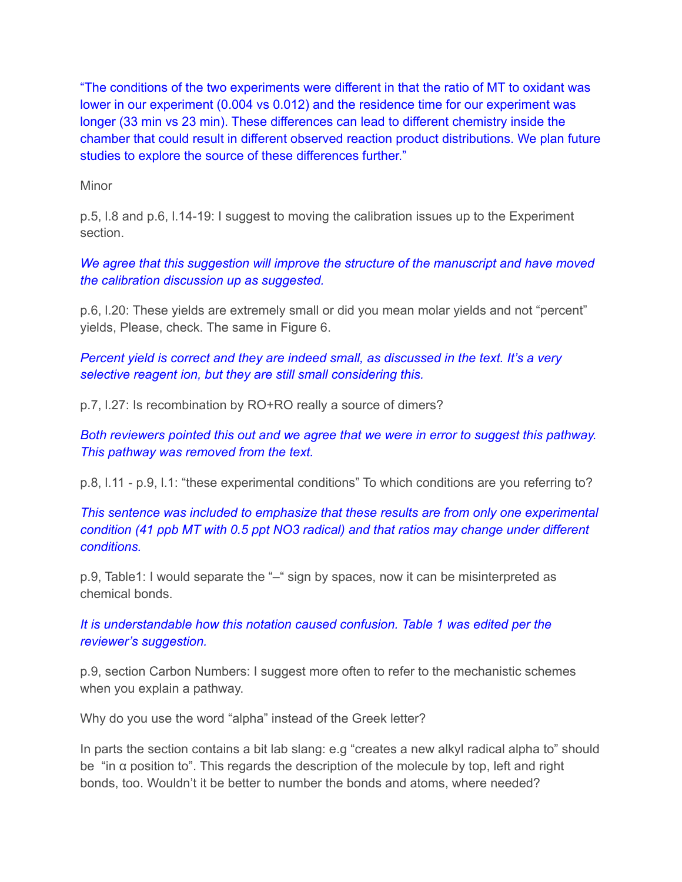"The conditions of the two experiments were different in that the ratio of MT to oxidant was lower in our experiment (0.004 vs 0.012) and the residence time for our experiment was longer (33 min vs 23 min). These differences can lead to different chemistry inside the chamber that could result in different observed reaction product distributions. We plan future studies to explore the source of these differences further."

Minor

p.5, l.8 and p.6, l.14-19: I suggest to moving the calibration issues up to the Experiment section.

*We agree that this suggestion will improve the structure of the manuscript and have moved the calibration discussion up as suggested.*

p.6, l.20: These yields are extremely small or did you mean molar yields and not "percent" yields, Please, check. The same in Figure 6.

*Percent yield is correct and they are indeed small, as discussed in the text. It's a very selective reagent ion, but they are still small considering this.*

p.7, l.27: Is recombination by RO+RO really a source of dimers?

*Both reviewers pointed this out and we agree that we were in error to suggest this pathway. This pathway was removed from the text.*

p.8, l.11 - p.9, l.1: "these experimental conditions" To which conditions are you referring to?

*This sentence was included to emphasize that these results are from only one experimental condition (41 ppb MT with 0.5 ppt NO3 radical) and that ratios may change under different conditions.*

p.9, Table1: I would separate the "-" sign by spaces, now it can be misinterpreted as chemical bonds.

*It is understandable how this notation caused confusion. Table 1 was edited per the reviewer's suggestion.*

p.9, section Carbon Numbers: I suggest more often to refer to the mechanistic schemes when you explain a pathway.

Why do you use the word "alpha" instead of the Greek letter?

In parts the section contains a bit lab slang: e.g "creates a new alkyl radical alpha to" should be "in α position to". This regards the description of the molecule by top, left and right bonds, too. Wouldn't it be better to number the bonds and atoms, where needed?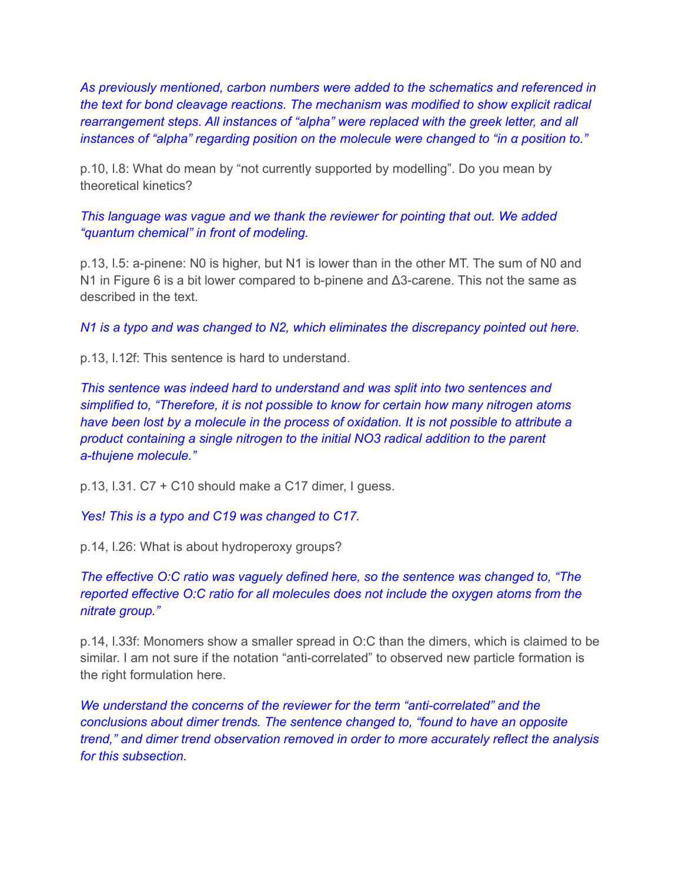*As previously mentioned, carbon numbers were added to the schematics and referenced in the text for bond cleavage reactions. The mechanism was modified to show explicit radical rearrangement steps. All instances of "alpha" were replaced with the greek letter, and all instances of "alpha" regarding position on the molecule were changed to "in α position to."*

p.10, l.8: What do mean by "not currently supported by modelling". Do you mean by theoretical kinetics?

*This language was vague and we thank the reviewer for pointing that out. We added "quantum chemical" in front of modeling.*

p.13, l.5: a-pinene: N0 is higher, but N1 is lower than in the other MT. The sum of N0 and N1 in Figure 6 is a bit lower compared to b-pinene and Δ3-carene. This not the same as described in the text.

*N1 is a typo and was changed to N2, which eliminates the discrepancy pointed out here.*

p.13, l.12f: This sentence is hard to understand.

*This sentence was indeed hard to understand and was split into two sentences and simplified to, "Therefore, it is not possible to know for certain how many nitrogen atoms have been lost by a molecule in the process of oxidation. It is not possible to attribute a product containing a single nitrogen to the initial NO3 radical addition to the parent a-thujene molecule."*

p.13, l.31. C7 + C10 should make a C17 dimer, I guess.

*Yes! This is a typo and C19 was changed to C17.*

p.14, l.26: What is about hydroperoxy groups?

*The effective O:C ratio was vaguely defined here, so the sentence was changed to, "The reported effective O:C ratio for all molecules does not include the oxygen atoms from the nitrate group."*

p.14, l.33f: Monomers show a smaller spread in O:C than the dimers, which is claimed to be similar. I am not sure if the notation "anti-correlated" to observed new particle formation is the right formulation here.

*We understand the concerns of the reviewer for the term "anti-correlated" and the conclusions about dimer trends. The sentence changed to, "found to have an opposite trend," and dimer trend observation removed in order to more accurately reflect the analysis for this subsection.*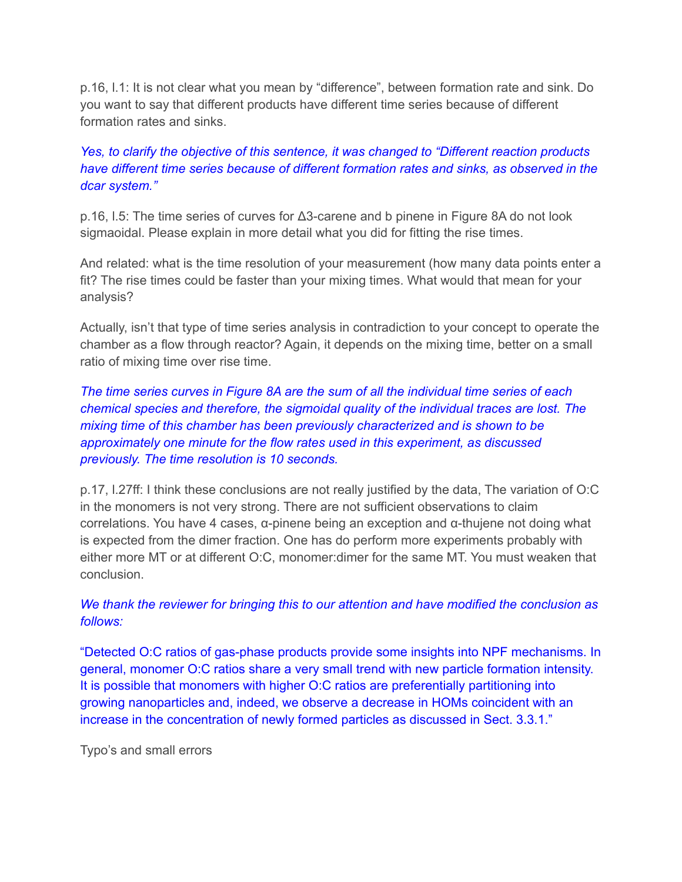p.16, l.1: It is not clear what you mean by "difference", between formation rate and sink. Do you want to say that different products have different time series because of different formation rates and sinks.

## *Yes, to clarify the objective of this sentence, it was changed to "Different reaction products have different time series because of different formation rates and sinks, as observed in the dcar system."*

p.16, l.5: The time series of curves for Δ3-carene and b pinene in Figure 8A do not look sigmaoidal. Please explain in more detail what you did for fitting the rise times.

And related: what is the time resolution of your measurement (how many data points enter a fit? The rise times could be faster than your mixing times. What would that mean for your analysis?

Actually, isn't that type of time series analysis in contradiction to your concept to operate the chamber as a flow through reactor? Again, it depends on the mixing time, better on a small ratio of mixing time over rise time.

*The time series curves in Figure 8A are the sum of all the individual time series of each chemical species and therefore, the sigmoidal quality of the individual traces are lost. The mixing time of this chamber has been previously characterized and is shown to be approximately one minute for the flow rates used in this experiment, as discussed previously. The time resolution is 10 seconds.*

p.17, l.27ff: I think these conclusions are not really justified by the data, The variation of O:C in the monomers is not very strong. There are not sufficient observations to claim correlations. You have 4 cases, α-pinene being an exception and α-thujene not doing what is expected from the dimer fraction. One has do perform more experiments probably with either more MT or at different O:C, monomer:dimer for the same MT. You must weaken that conclusion.

# *We thank the reviewer for bringing this to our attention and have modified the conclusion as follows:*

"Detected O:C ratios of gas-phase products provide some insights into NPF mechanisms. In general, monomer O:C ratios share a very small trend with new particle formation intensity. It is possible that monomers with higher O:C ratios are preferentially partitioning into growing nanoparticles and, indeed, we observe a decrease in HOMs coincident with an increase in the concentration of newly formed particles as discussed in Sect. 3.3.1."

Typo's and small errors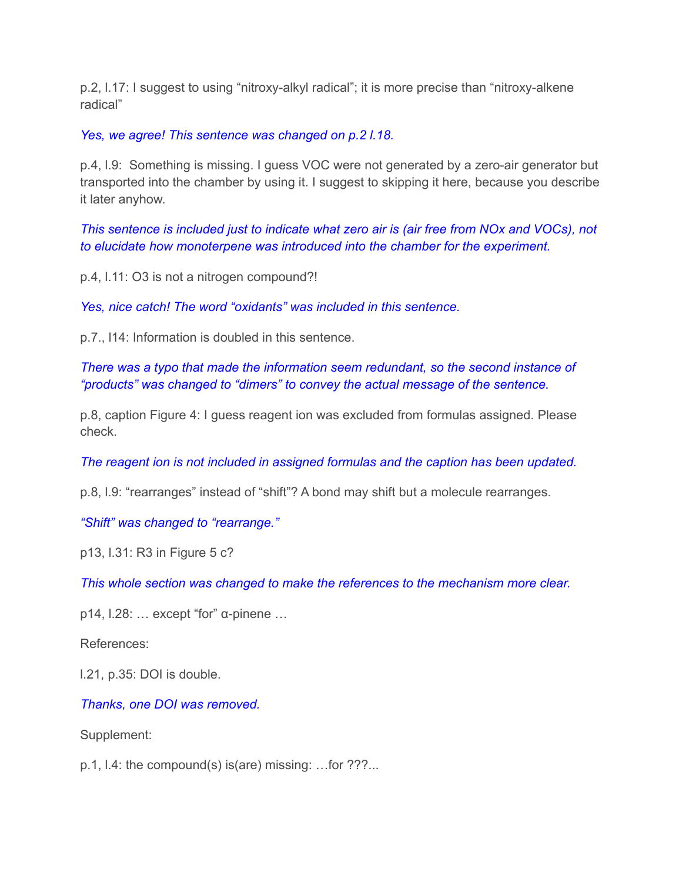p.2, l.17: I suggest to using "nitroxy-alkyl radical"; it is more precise than "nitroxy-alkene radical"

*Yes, we agree! This sentence was changed on p.2 l.18.*

p.4, l.9: Something is missing. I guess VOC were not generated by a zero-air generator but transported into the chamber by using it. I suggest to skipping it here, because you describe it later anyhow.

*This sentence is included just to indicate what zero air is (air free from NOx and VOCs), not to elucidate how monoterpene was introduced into the chamber for the experiment.*

p.4, l.11: O3 is not a nitrogen compound?!

*Yes, nice catch! The word "oxidants" was included in this sentence.*

p.7., l14: Information is doubled in this sentence.

*There was a typo that made the information seem redundant, so the second instance of "products" was changed to "dimers" to convey the actual message of the sentence.*

p.8, caption Figure 4: I guess reagent ion was excluded from formulas assigned. Please check.

*The reagent ion is not included in assigned formulas and the caption has been updated.*

p.8, l.9: "rearranges" instead of "shift"? A bond may shift but a molecule rearranges.

*"Shift" was changed to "rearrange."*

p13, l.31: R3 in Figure 5 c?

*This whole section was changed to make the references to the mechanism more clear.*

p14, l.28: … except "for" α-pinene …

References:

l.21, p.35: DOI is double.

*Thanks, one DOI was removed.*

Supplement:

p.1, l.4: the compound(s) is(are) missing: …for ???...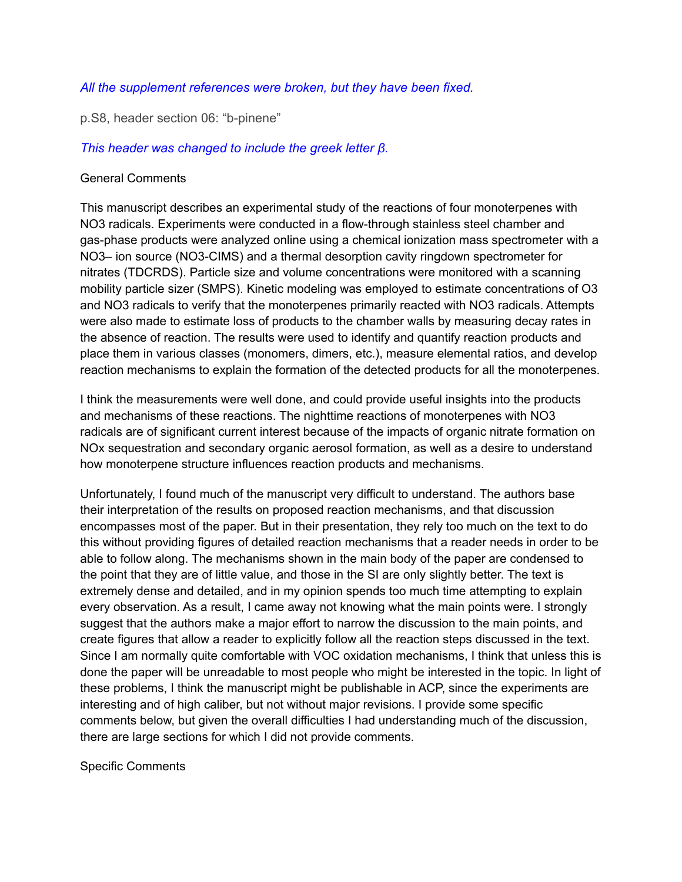### *All the supplement references were broken, but they have been fixed.*

p.S8, header section 06: "b-pinene"

### *This header was changed to include the greek letter β.*

#### General Comments

This manuscript describes an experimental study of the reactions of four monoterpenes with NO3 radicals. Experiments were conducted in a flow-through stainless steel chamber and gas-phase products were analyzed online using a chemical ionization mass spectrometer with a NO3– ion source (NO3-CIMS) and a thermal desorption cavity ringdown spectrometer for nitrates (TDCRDS). Particle size and volume concentrations were monitored with a scanning mobility particle sizer (SMPS). Kinetic modeling was employed to estimate concentrations of O3 and NO3 radicals to verify that the monoterpenes primarily reacted with NO3 radicals. Attempts were also made to estimate loss of products to the chamber walls by measuring decay rates in the absence of reaction. The results were used to identify and quantify reaction products and place them in various classes (monomers, dimers, etc.), measure elemental ratios, and develop reaction mechanisms to explain the formation of the detected products for all the monoterpenes.

I think the measurements were well done, and could provide useful insights into the products and mechanisms of these reactions. The nighttime reactions of monoterpenes with NO3 radicals are of significant current interest because of the impacts of organic nitrate formation on NOx sequestration and secondary organic aerosol formation, as well as a desire to understand how monoterpene structure influences reaction products and mechanisms.

Unfortunately, I found much of the manuscript very difficult to understand. The authors base their interpretation of the results on proposed reaction mechanisms, and that discussion encompasses most of the paper. But in their presentation, they rely too much on the text to do this without providing figures of detailed reaction mechanisms that a reader needs in order to be able to follow along. The mechanisms shown in the main body of the paper are condensed to the point that they are of little value, and those in the SI are only slightly better. The text is extremely dense and detailed, and in my opinion spends too much time attempting to explain every observation. As a result, I came away not knowing what the main points were. I strongly suggest that the authors make a major effort to narrow the discussion to the main points, and create figures that allow a reader to explicitly follow all the reaction steps discussed in the text. Since I am normally quite comfortable with VOC oxidation mechanisms, I think that unless this is done the paper will be unreadable to most people who might be interested in the topic. In light of these problems, I think the manuscript might be publishable in ACP, since the experiments are interesting and of high caliber, but not without major revisions. I provide some specific comments below, but given the overall difficulties I had understanding much of the discussion, there are large sections for which I did not provide comments.

Specific Comments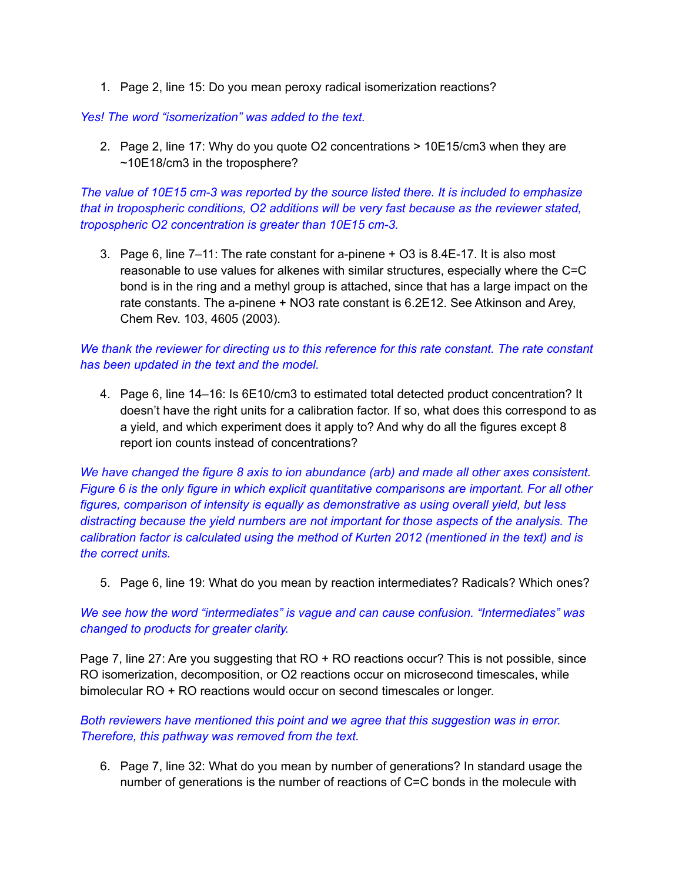1. Page 2, line 15: Do you mean peroxy radical isomerization reactions?

#### *Yes! The word "isomerization" was added to the text.*

2. Page 2, line 17: Why do you quote O2 concentrations > 10E15/cm3 when they are ~10E18/cm3 in the troposphere?

*The value of 10E15 cm-3 was reported by the source listed there. It is included to emphasize that in tropospheric conditions, O2 additions will be very fast because as the reviewer stated, tropospheric O2 concentration is greater than 10E15 cm-3.*

3. Page 6, line 7–11: The rate constant for a-pinene + O3 is 8.4E-17. It is also most reasonable to use values for alkenes with similar structures, especially where the C=C bond is in the ring and a methyl group is attached, since that has a large impact on the rate constants. The a-pinene + NO3 rate constant is 6.2E12. See Atkinson and Arey, Chem Rev. 103, 4605 (2003).

## *We thank the reviewer for directing us to this reference for this rate constant. The rate constant has been updated in the text and the model.*

4. Page 6, line 14–16: Is 6E10/cm3 to estimated total detected product concentration? It doesn't have the right units for a calibration factor. If so, what does this correspond to as a yield, and which experiment does it apply to? And why do all the figures except 8 report ion counts instead of concentrations?

*We have changed the figure 8 axis to ion abundance (arb) and made all other axes consistent. Figure 6 is the only figure in which explicit quantitative comparisons are important. For all other figures, comparison of intensity is equally as demonstrative as using overall yield, but less distracting because the yield numbers are not important for those aspects of the analysis. The calibration factor is calculated using the method of Kurten 2012 (mentioned in the text) and is the correct units.*

5. Page 6, line 19: What do you mean by reaction intermediates? Radicals? Which ones?

*We see how the word "intermediates" is vague and can cause confusion. "Intermediates" was changed to products for greater clarity.*

Page 7, line 27: Are you suggesting that RO + RO reactions occur? This is not possible, since RO isomerization, decomposition, or O2 reactions occur on microsecond timescales, while bimolecular RO + RO reactions would occur on second timescales or longer.

*Both reviewers have mentioned this point and we agree that this suggestion was in error. Therefore, this pathway was removed from the text.*

6. Page 7, line 32: What do you mean by number of generations? In standard usage the number of generations is the number of reactions of C=C bonds in the molecule with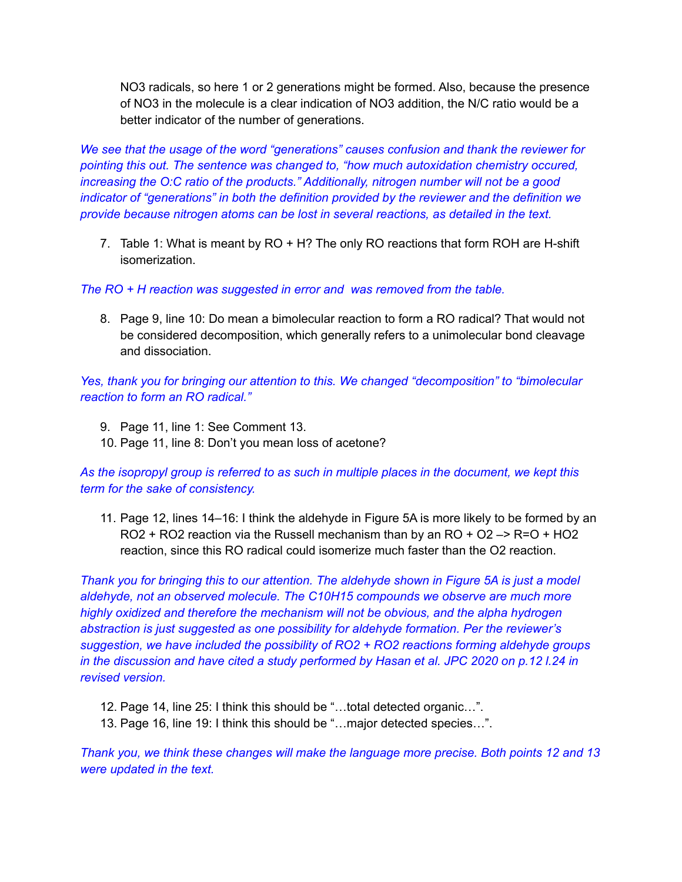NO3 radicals, so here 1 or 2 generations might be formed. Also, because the presence of NO3 in the molecule is a clear indication of NO3 addition, the N/C ratio would be a better indicator of the number of generations.

*We see that the usage of the word "generations" causes confusion and thank the reviewer for pointing this out. The sentence was changed to, "how much autoxidation chemistry occured, increasing the O:C ratio of the products." Additionally, nitrogen number will not be a good indicator of "generations" in both the definition provided by the reviewer and the definition we provide because nitrogen atoms can be lost in several reactions, as detailed in the text.*

7. Table 1: What is meant by RO + H? The only RO reactions that form ROH are H-shift isomerization.

*The RO + H reaction was suggested in error and was removed from the table.*

8. Page 9, line 10: Do mean a bimolecular reaction to form a RO radical? That would not be considered decomposition, which generally refers to a unimolecular bond cleavage and dissociation.

*Yes, thank you for bringing our attention to this. We changed "decomposition" to "bimolecular reaction to form an RO radical."*

- 9. Page 11, line 1: See Comment 13.
- 10. Page 11, line 8: Don't you mean loss of acetone?

*As the isopropyl group is referred to as such in multiple places in the document, we kept this term for the sake of consistency.*

11. Page 12, lines 14–16: I think the aldehyde in Figure 5A is more likely to be formed by an  $RO2 + RO2$  reaction via the Russell mechanism than by an  $RO + O2 \rightarrow Re1 + HO2$ reaction, since this RO radical could isomerize much faster than the O2 reaction.

*Thank you for bringing this to our attention. The aldehyde shown in Figure 5A is just a model aldehyde, not an observed molecule. The C10H15 compounds we observe are much more highly oxidized and therefore the mechanism will not be obvious, and the alpha hydrogen abstraction is just suggested as one possibility for aldehyde formation. Per the reviewer's suggestion, we have included the possibility of RO2 + RO2 reactions forming aldehyde groups in the discussion and have cited a study performed by Hasan et al. JPC 2020 on p.12 l.24 in revised version.*

- 12. Page 14, line 25: I think this should be "…total detected organic…".
- 13. Page 16, line 19: I think this should be "…major detected species…".

*Thank you, we think these changes will make the language more precise. Both points 12 and 13 were updated in the text.*